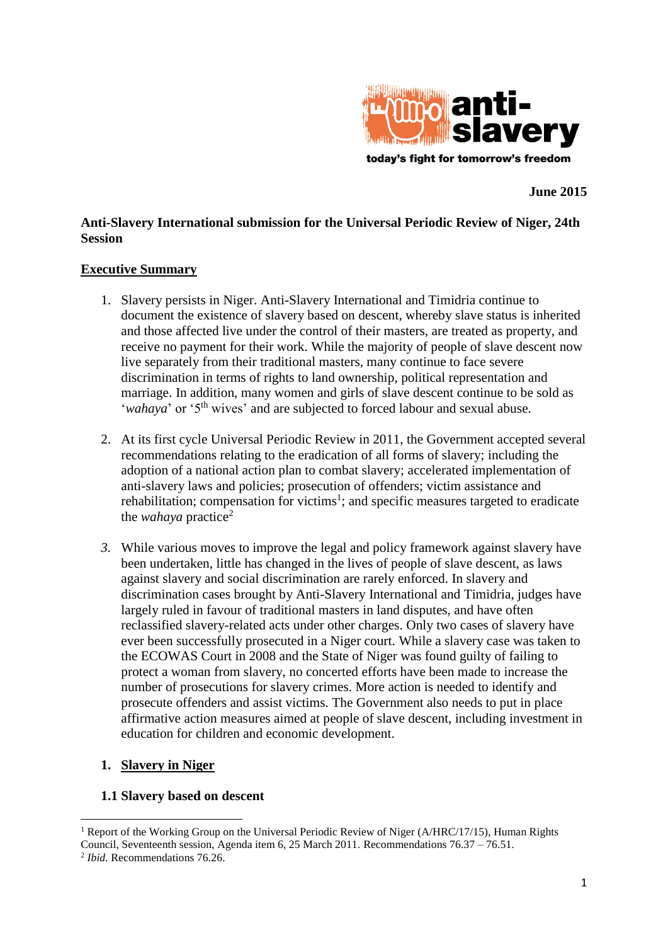

**June 2015**

# **Anti-Slavery International submission for the Universal Periodic Review of Niger, 24th Session**

#### **Executive Summary**

- 1. Slavery persists in Niger. Anti-Slavery International and Timidria continue to document the existence of slavery based on descent, whereby slave status is inherited and those affected live under the control of their masters, are treated as property, and receive no payment for their work. While the majority of people of slave descent now live separately from their traditional masters, many continue to face severe discrimination in terms of rights to land ownership, political representation and marriage. In addition, many women and girls of slave descent continue to be sold as '*wahaya*' or '5<sup>th</sup> wives' and are subjected to forced labour and sexual abuse.
- 2. At its first cycle Universal Periodic Review in 2011, the Government accepted several recommendations relating to the eradication of all forms of slavery; including the adoption of a national action plan to combat slavery; accelerated implementation of anti-slavery laws and policies; prosecution of offenders; victim assistance and rehabilitation; compensation for victims<sup>1</sup>; and specific measures targeted to eradicate the *wahaya* practice<sup>2</sup>
- *3.* While various moves to improve the legal and policy framework against slavery have been undertaken, little has changed in the lives of people of slave descent, as laws against slavery and social discrimination are rarely enforced. In slavery and discrimination cases brought by Anti-Slavery International and Timidria, judges have largely ruled in favour of traditional masters in land disputes, and have often reclassified slavery-related acts under other charges. Only two cases of slavery have ever been successfully prosecuted in a Niger court. While a slavery case was taken to the ECOWAS Court in 2008 and the State of Niger was found guilty of failing to protect a woman from slavery, no concerted efforts have been made to increase the number of prosecutions for slavery crimes. More action is needed to identify and prosecute offenders and assist victims. The Government also needs to put in place affirmative action measures aimed at people of slave descent, including investment in education for children and economic development.

## **1. Slavery in Niger**

#### **1.1 Slavery based on descent**

<sup>1</sup> <sup>1</sup> Report of the Working Group on the Universal Periodic Review of Niger (A/HRC/17/15). Human Rights Council, Seventeenth session, Agenda item 6, 25 March 2011. Recommendations 76.37 – 76.51.

<sup>2</sup> *Ibid.* Recommendations 76.26.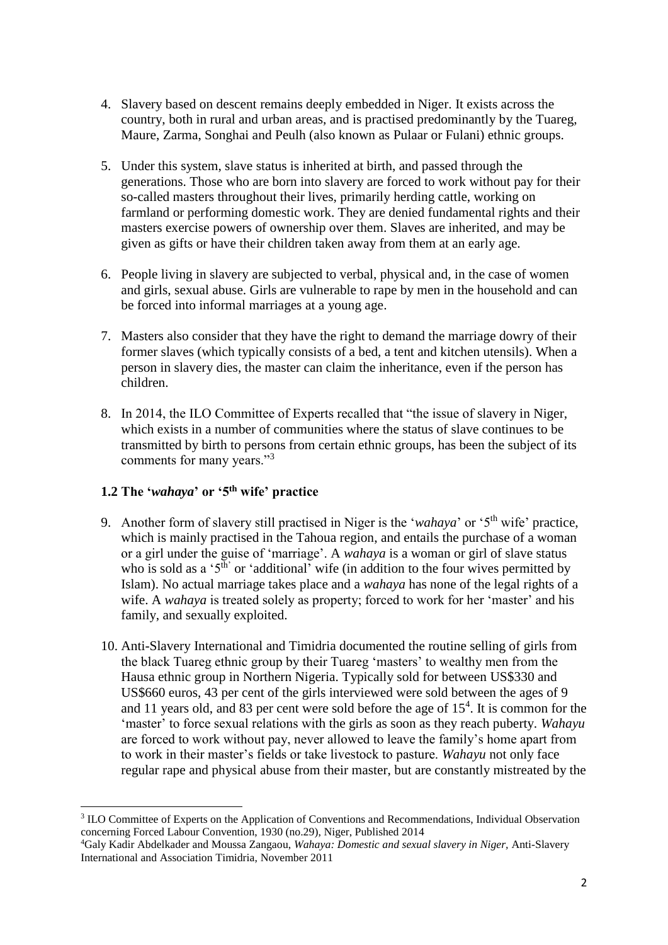- 4. Slavery based on descent remains deeply embedded in Niger. It exists across the country, both in rural and urban areas, and is practised predominantly by the Tuareg, Maure, Zarma, Songhai and Peulh (also known as Pulaar or Fulani) ethnic groups.
- 5. Under this system, slave status is inherited at birth, and passed through the generations. Those who are born into slavery are forced to work without pay for their so-called masters throughout their lives, primarily herding cattle, working on farmland or performing domestic work. They are denied fundamental rights and their masters exercise powers of ownership over them. Slaves are inherited, and may be given as gifts or have their children taken away from them at an early age.
- 6. People living in slavery are subjected to verbal, physical and, in the case of women and girls, sexual abuse. Girls are vulnerable to rape by men in the household and can be forced into informal marriages at a young age.
- 7. Masters also consider that they have the right to demand the marriage dowry of their former slaves (which typically consists of a bed, a tent and kitchen utensils). When a person in slavery dies, the master can claim the inheritance, even if the person has children.
- 8. In 2014, the ILO Committee of Experts recalled that "the issue of slavery in Niger, which exists in a number of communities where the status of slave continues to be transmitted by birth to persons from certain ethnic groups, has been the subject of its comments for many years."<sup>3</sup>

## **1.2 The '***wahaya***' or '5th wife' practice**

- 9. Another form of slavery still practised in Niger is the '*wahaya*' or '5th wife' practice, which is mainly practised in the Tahoua region, and entails the purchase of a woman or a girl under the guise of 'marriage'. A *wahaya* is a woman or girl of slave status who is sold as a ' $5^{\text{th}}$ ' or 'additional' wife (in addition to the four wives permitted by Islam). No actual marriage takes place and a *wahaya* has none of the legal rights of a wife. A *wahaya* is treated solely as property; forced to work for her 'master' and his family, and sexually exploited.
- 10. Anti-Slavery International and Timidria documented the routine selling of girls from the black Tuareg ethnic group by their Tuareg 'masters' to wealthy men from the Hausa ethnic group in Northern Nigeria. Typically sold for between US\$330 and US\$660 euros, 43 per cent of the girls interviewed were sold between the ages of 9 and 11 years old, and 83 per cent were sold before the age of  $15<sup>4</sup>$ . It is common for the 'master' to force sexual relations with the girls as soon as they reach puberty. *Wahayu*  are forced to work without pay, never allowed to leave the family's home apart from to work in their master's fields or take livestock to pasture. *Wahayu* not only face regular rape and physical abuse from their master, but are constantly mistreated by the

**<sup>.</sup>** <sup>3</sup> ILO Committee of Experts on the Application of Conventions and Recommendations, Individual Observation concerning Forced Labour Convention, 1930 (no.29), Niger, Published 2014

<sup>4</sup>Galy Kadir Abdelkader and Moussa Zangaou, *Wahaya: Domestic and sexual slavery in Niger,* Anti-Slavery International and Association Timidria, November 2011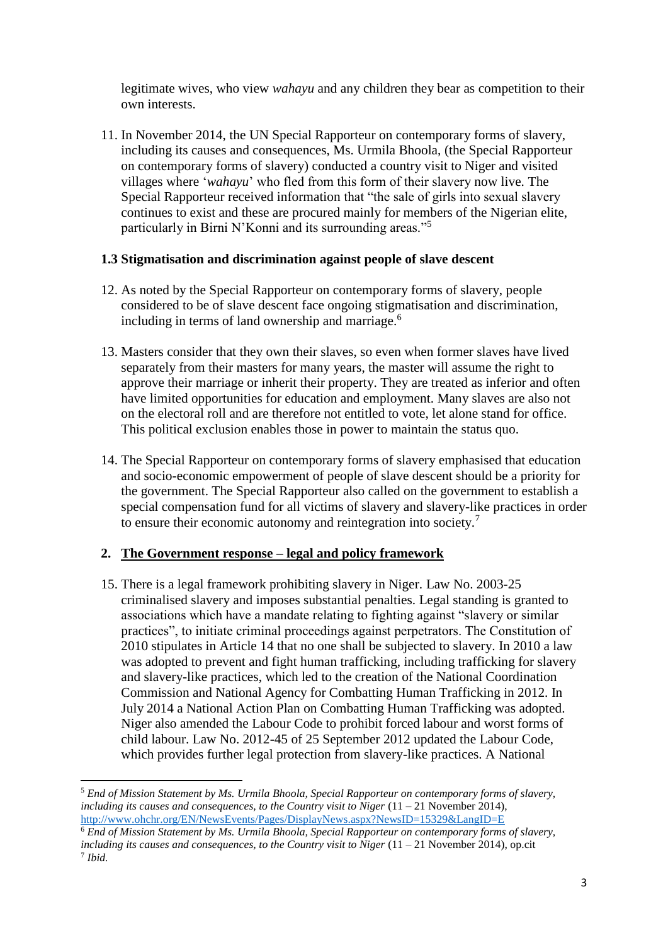legitimate wives, who view *wahayu* and any children they bear as competition to their own interests.

11. In November 2014, the UN Special Rapporteur on contemporary forms of slavery, including its causes and consequences, Ms. Urmila Bhoola, (the Special Rapporteur on contemporary forms of slavery) conducted a country visit to Niger and visited villages where '*wahayu*' who fled from this form of their slavery now live. The Special Rapporteur received information that "the sale of girls into sexual slavery continues to exist and these are procured mainly for members of the Nigerian elite, particularly in Birni N'Konni and its surrounding areas."<sup>5</sup>

#### **1.3 Stigmatisation and discrimination against people of slave descent**

- 12. As noted by the Special Rapporteur on contemporary forms of slavery, people considered to be of slave descent face ongoing stigmatisation and discrimination, including in terms of land ownership and marriage.<sup>6</sup>
- 13. Masters consider that they own their slaves, so even when former slaves have lived separately from their masters for many years, the master will assume the right to approve their marriage or inherit their property. They are treated as inferior and often have limited opportunities for education and employment. Many slaves are also not on the electoral roll and are therefore not entitled to vote, let alone stand for office. This political exclusion enables those in power to maintain the status quo.
- 14. The Special Rapporteur on contemporary forms of slavery emphasised that education and socio-economic empowerment of people of slave descent should be a priority for the government. The Special Rapporteur also called on the government to establish a special compensation fund for all victims of slavery and slavery-like practices in order to ensure their economic autonomy and reintegration into society.<sup>7</sup>

## **2. The Government response – legal and policy framework**

1

15. There is a legal framework prohibiting slavery in Niger. Law No. 2003-25 criminalised slavery and imposes substantial penalties. Legal standing is granted to associations which have a mandate relating to fighting against "slavery or similar practices", to initiate criminal proceedings against perpetrators. The Constitution of 2010 stipulates in Article 14 that no one shall be subjected to slavery. In 2010 a law was adopted to prevent and fight human trafficking, including trafficking for slavery and slavery-like practices, which led to the creation of the National Coordination Commission and National Agency for Combatting Human Trafficking in 2012. In July 2014 a National Action Plan on Combatting Human Trafficking was adopted. Niger also amended the Labour Code to prohibit forced labour and worst forms of child labour. Law No. 2012-45 of 25 September 2012 updated the Labour Code, which provides further legal protection from slavery-like practices. A National

<sup>5</sup> *End of Mission Statement by Ms. Urmila Bhoola, Special Rapporteur on contemporary forms of slavery, including its causes and consequences, to the Country visit to Niger*  $(11 - 21)$  *November 2014).* <http://www.ohchr.org/EN/NewsEvents/Pages/DisplayNews.aspx?NewsID=15329&LangID=E>

<sup>6</sup> *End of Mission Statement by Ms. Urmila Bhoola, Special Rapporteur on contemporary forms of slavery, including its causes and consequences, to the Country visit to Niger* (11 – 21 November 2014), op.cit 7 *Ibid.*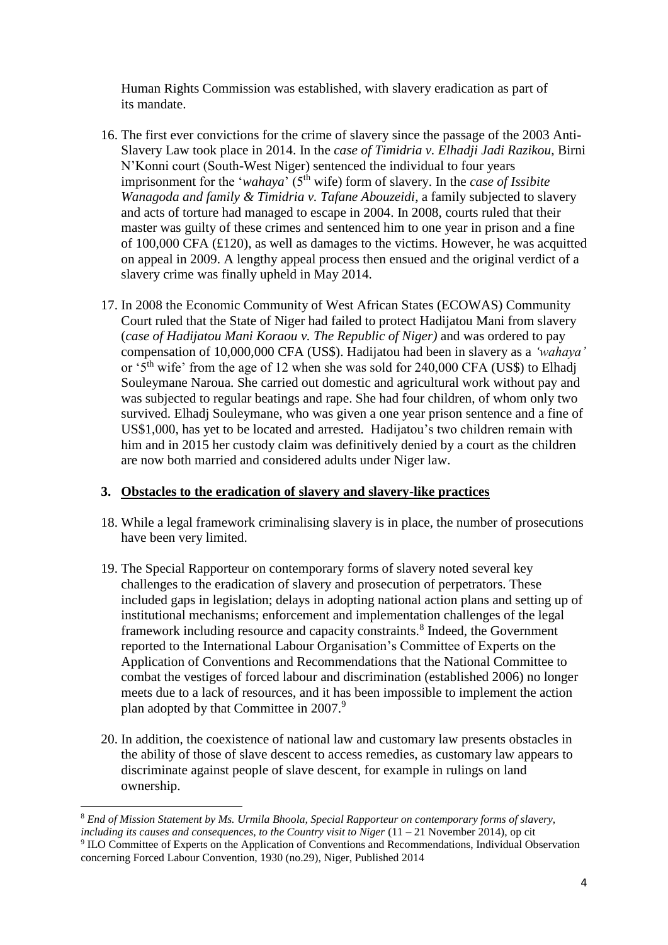Human Rights Commission was established, with slavery eradication as part of its mandate.

- 16. The first ever convictions for the crime of slavery since the passage of the 2003 Anti-Slavery Law took place in 2014. In the *case of Timidria v. Elhadji Jadi Razikou*, Birni N'Konni court (South-West Niger) sentenced the individual to four years imprisonment for the '*wahaya*' (5<sup>th</sup> wife) form of slavery. In the *case of Issibite Wanagoda and family & Timidria v. Tafane Abouzeidi*, a family subjected to slavery and acts of torture had managed to escape in 2004. In 2008, courts ruled that their master was guilty of these crimes and sentenced him to one year in prison and a fine of 100,000 CFA (£120), as well as damages to the victims. However, he was acquitted on appeal in 2009. A lengthy appeal process then ensued and the original verdict of a slavery crime was finally upheld in May 2014.
- 17. In 2008 the Economic Community of West African States (ECOWAS) Community Court ruled that the State of Niger had failed to protect Hadijatou Mani from slavery (*case of Hadijatou Mani Koraou v. The Republic of Niger)* and was ordered to pay compensation of 10,000,000 CFA (US\$). Hadijatou had been in slavery as a *'wahaya'* or '5th wife' from the age of 12 when she was sold for 240,000 CFA (US\$) to Elhadj Souleymane Naroua. She carried out domestic and agricultural work without pay and was subjected to regular beatings and rape. She had four children, of whom only two survived. Elhadj Souleymane, who was given a one year prison sentence and a fine of US\$1,000, has yet to be located and arrested. Hadijatou's two children remain with him and in 2015 her custody claim was definitively denied by a court as the children are now both married and considered adults under Niger law.

## **3. Obstacles to the eradication of slavery and slavery-like practices**

- 18. While a legal framework criminalising slavery is in place, the number of prosecutions have been very limited.
- 19. The Special Rapporteur on contemporary forms of slavery noted several key challenges to the eradication of slavery and prosecution of perpetrators. These included gaps in legislation; delays in adopting national action plans and setting up of institutional mechanisms; enforcement and implementation challenges of the legal framework including resource and capacity constraints.<sup>8</sup> Indeed, the Government reported to the International Labour Organisation's Committee of Experts on the Application of Conventions and Recommendations that the National Committee to combat the vestiges of forced labour and discrimination (established 2006) no longer meets due to a lack of resources, and it has been impossible to implement the action plan adopted by that Committee in 2007.<sup>9</sup>
- 20. In addition, the coexistence of national law and customary law presents obstacles in the ability of those of slave descent to access remedies, as customary law appears to discriminate against people of slave descent, for example in rulings on land ownership.

**.** 

<sup>8</sup> *End of Mission Statement by Ms. Urmila Bhoola, Special Rapporteur on contemporary forms of slavery, including its causes and consequences, to the Country visit to Niger* (11 – 21 November 2014), op cit 9 ILO Committee of Experts on the Application of Conventions and Recommendations, Individual Observation concerning Forced Labour Convention, 1930 (no.29), Niger, Published 2014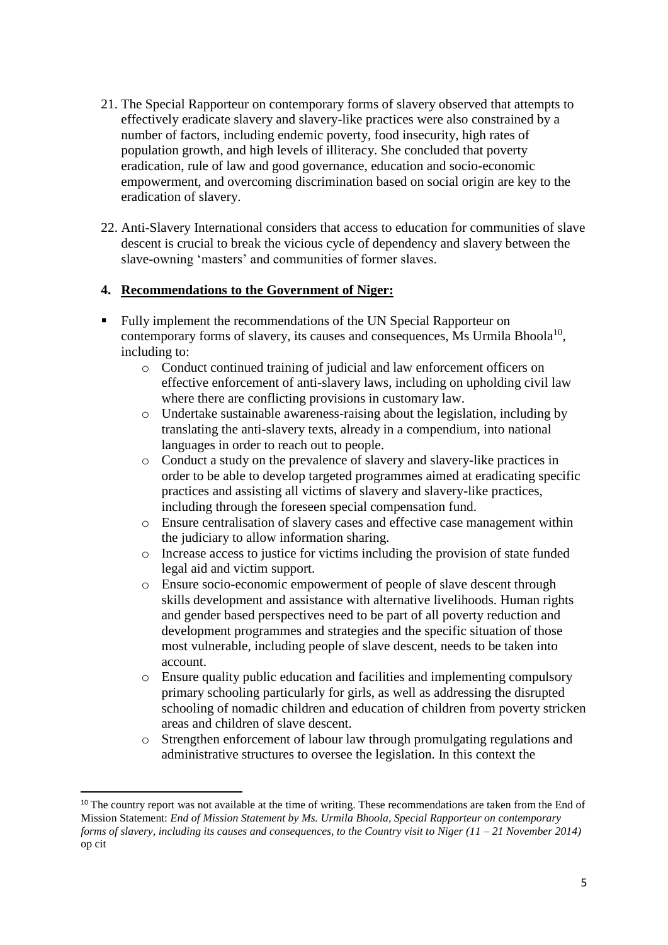- 21. The Special Rapporteur on contemporary forms of slavery observed that attempts to effectively eradicate slavery and slavery-like practices were also constrained by a number of factors, including endemic poverty, food insecurity, high rates of population growth, and high levels of illiteracy. She concluded that poverty eradication, rule of law and good governance, education and socio-economic empowerment, and overcoming discrimination based on social origin are key to the eradication of slavery.
- 22. Anti-Slavery International considers that access to education for communities of slave descent is crucial to break the vicious cycle of dependency and slavery between the slave-owning 'masters' and communities of former slaves.

#### **4. Recommendations to the Government of Niger:**

- Fully implement the recommendations of the UN Special Rapporteur on contemporary forms of slavery, its causes and consequences, Ms Urmila Bhoola<sup>10</sup>, including to:
	- o Conduct continued training of judicial and law enforcement officers on effective enforcement of anti-slavery laws, including on upholding civil law where there are conflicting provisions in customary law.
	- o Undertake sustainable awareness-raising about the legislation, including by translating the anti-slavery texts, already in a compendium, into national languages in order to reach out to people.
	- o Conduct a study on the prevalence of slavery and slavery-like practices in order to be able to develop targeted programmes aimed at eradicating specific practices and assisting all victims of slavery and slavery-like practices, including through the foreseen special compensation fund.
	- o Ensure centralisation of slavery cases and effective case management within the judiciary to allow information sharing.
	- o Increase access to justice for victims including the provision of state funded legal aid and victim support.
	- o Ensure socio-economic empowerment of people of slave descent through skills development and assistance with alternative livelihoods. Human rights and gender based perspectives need to be part of all poverty reduction and development programmes and strategies and the specific situation of those most vulnerable, including people of slave descent, needs to be taken into account.
	- o Ensure quality public education and facilities and implementing compulsory primary schooling particularly for girls, as well as addressing the disrupted schooling of nomadic children and education of children from poverty stricken areas and children of slave descent.
	- o Strengthen enforcement of labour law through promulgating regulations and administrative structures to oversee the legislation. In this context the

1

<sup>&</sup>lt;sup>10</sup> The country report was not available at the time of writing. These recommendations are taken from the End of Mission Statement: *End of Mission Statement by Ms. Urmila Bhoola, Special Rapporteur on contemporary forms of slavery, including its causes and consequences, to the Country visit to Niger (11 – 21 November 2014)*  op cit